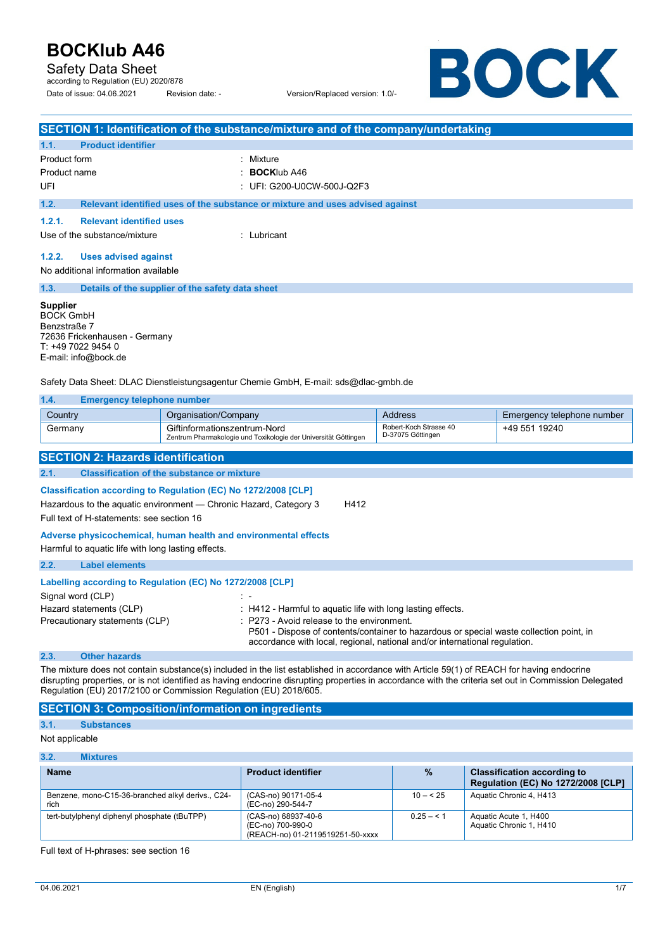Safety Data Sheet

according to Regulation (EU) 2020/878 Date of issue: 04.06.2021 Revision date: - Version/Replaced version: 1.0/-

BOCK

|                                                                                                                                    | <b>SECTION 1: Identification of the substance/mixture and of the company/undertaking</b>        |                                             |                            |
|------------------------------------------------------------------------------------------------------------------------------------|-------------------------------------------------------------------------------------------------|---------------------------------------------|----------------------------|
| <b>Product identifier</b><br>1.1.                                                                                                  |                                                                                                 |                                             |                            |
| Product form                                                                                                                       | : Mixture                                                                                       |                                             |                            |
| Product name                                                                                                                       | <b>BOCKIub A46</b>                                                                              |                                             |                            |
| UFI                                                                                                                                | : UFI: G200-U0CW-500J-Q2F3                                                                      |                                             |                            |
| 1.2.                                                                                                                               | Relevant identified uses of the substance or mixture and uses advised against                   |                                             |                            |
| 1.2.1.<br><b>Relevant identified uses</b>                                                                                          |                                                                                                 |                                             |                            |
| Use of the substance/mixture                                                                                                       | $\cdot$ I ubricant                                                                              |                                             |                            |
| 1.2.2.                                                                                                                             |                                                                                                 |                                             |                            |
| <b>Uses advised against</b><br>No additional information available                                                                 |                                                                                                 |                                             |                            |
|                                                                                                                                    |                                                                                                 |                                             |                            |
| 1.3.                                                                                                                               | Details of the supplier of the safety data sheet                                                |                                             |                            |
| <b>Supplier</b><br><b>BOCK GmbH</b><br>Benzstraße 7<br>72636 Frickenhausen - Germany<br>T: +49 7022 9454 0<br>E-mail: info@bock.de |                                                                                                 |                                             |                            |
|                                                                                                                                    | Safety Data Sheet: DLAC Dienstleistungsagentur Chemie GmbH, E-mail: sds@dlac-gmbh.de            |                                             |                            |
| 1.4.<br><b>Emergency telephone number</b>                                                                                          |                                                                                                 |                                             |                            |
| Country                                                                                                                            | Organisation/Company                                                                            | <b>Address</b>                              | Emergency telephone number |
| Germany                                                                                                                            | Giftinformationszentrum-Nord<br>Zentrum Pharmakologie und Toxikologie der Universität Göttingen | Robert-Koch Strasse 40<br>D-37075 Göttingen | +49 551 19240              |
| <b>SECTION 2: Hazards identification</b>                                                                                           |                                                                                                 |                                             |                            |

**2.1. Classification of the substance or mixture Classification according to Regulation (EC) No 1272/2008 [CLP]** 

Hazardous to the aquatic environment - Chronic Hazard, Category 3 H412

Full text of H-statements: see section 16

### **Adverse physicochemical, human health and environmental effects**

|      | Harmful to aquatic life with long lasting effects.        |                                                                                                                                                                                                                     |
|------|-----------------------------------------------------------|---------------------------------------------------------------------------------------------------------------------------------------------------------------------------------------------------------------------|
| 2.2. | <b>Label elements</b>                                     |                                                                                                                                                                                                                     |
|      | Labelling according to Regulation (EC) No 1272/2008 [CLP] |                                                                                                                                                                                                                     |
|      | Signal word (CLP)                                         |                                                                                                                                                                                                                     |
|      | Hazard statements (CLP)                                   | : H412 - Harmful to aquatic life with long lasting effects.                                                                                                                                                         |
|      | Precautionary statements (CLP)                            | : P273 - Avoid release to the environment.<br>P501 - Dispose of contents/container to hazardous or special waste collection point, in<br>accordance with local, regional, national and/or international regulation. |

### **2.3. Other hazards**

The mixture does not contain substance(s) included in the list established in accordance with Article 59(1) of REACH for having endocrine disrupting properties, or is not identified as having endocrine disrupting properties in accordance with the criteria set out in Commission Delegated Regulation (EU) 2017/2100 or Commission Regulation (EU) 2018/605.

## **SECTION 3: Composition/information on ingredients**

## **3.1. Substances**

Not applicable

| 3.2.<br><b>Mixtures</b>                                   |                                                                              |              |                                                                                 |
|-----------------------------------------------------------|------------------------------------------------------------------------------|--------------|---------------------------------------------------------------------------------|
| <b>Name</b>                                               | <b>Product identifier</b>                                                    | $\%$         | <b>Classification according to</b><br><b>Regulation (EC) No 1272/2008 [CLP]</b> |
| Benzene, mono-C15-36-branched alkyl derivs., C24-<br>rich | (CAS-no) 90171-05-4<br>(EC-no) 290-544-7                                     | $10 - 525$   | Aquatic Chronic 4, H413                                                         |
| tert-butylphenyl diphenyl phosphate (tBuTPP)              | (CAS-no) 68937-40-6<br>(EC-no) 700-990-0<br>(REACH-no) 01-2119519251-50-xxxx | $0.25 - 5.1$ | Aquatic Acute 1, H400<br>Aquatic Chronic 1, H410                                |

Full text of H-phrases: see section 16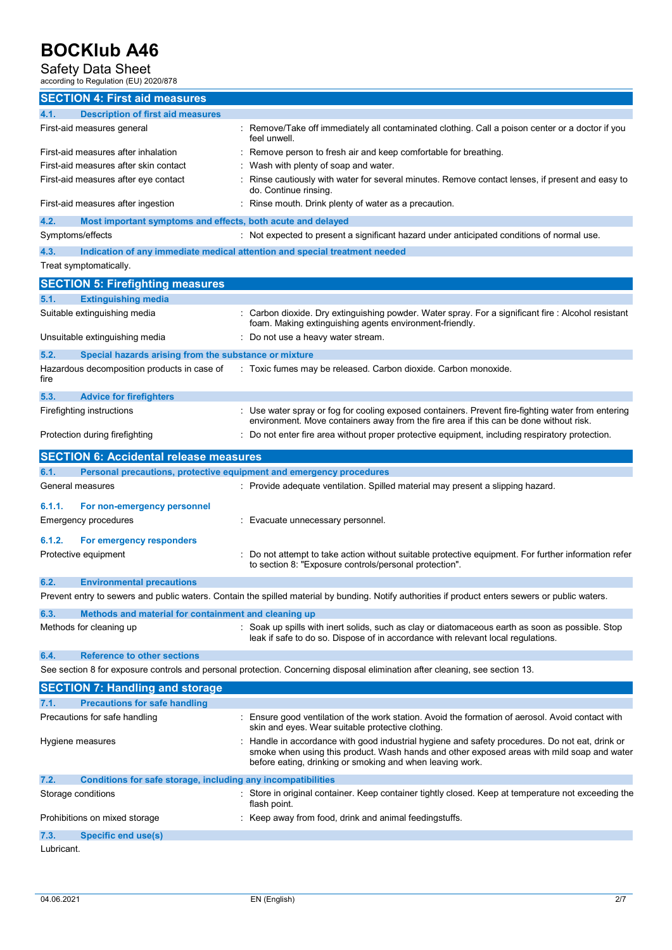# Safety Data Sheet<br>according to Regulation (EU) 2020/878

|                    | according to Regulation (EU) 2020/878                               |                                                                                                                                                                                                                                                          |
|--------------------|---------------------------------------------------------------------|----------------------------------------------------------------------------------------------------------------------------------------------------------------------------------------------------------------------------------------------------------|
|                    | <b>SECTION 4: First aid measures</b>                                |                                                                                                                                                                                                                                                          |
| 4.1.               | <b>Description of first aid measures</b>                            |                                                                                                                                                                                                                                                          |
|                    | First-aid measures general                                          | Remove/Take off immediately all contaminated clothing. Call a poison center or a doctor if you<br>feel unwell.                                                                                                                                           |
|                    | First-aid measures after inhalation                                 | Remove person to fresh air and keep comfortable for breathing.                                                                                                                                                                                           |
|                    | First-aid measures after skin contact                               | Wash with plenty of soap and water.                                                                                                                                                                                                                      |
|                    | First-aid measures after eye contact                                | Rinse cautiously with water for several minutes. Remove contact lenses, if present and easy to<br>do. Continue rinsing.                                                                                                                                  |
|                    | First-aid measures after ingestion                                  | Rinse mouth. Drink plenty of water as a precaution.                                                                                                                                                                                                      |
| 4.2.               | Most important symptoms and effects, both acute and delayed         |                                                                                                                                                                                                                                                          |
| Symptoms/effects   |                                                                     | : Not expected to present a significant hazard under anticipated conditions of normal use.                                                                                                                                                               |
| 4.3.               |                                                                     | Indication of any immediate medical attention and special treatment needed                                                                                                                                                                               |
|                    | Treat symptomatically.                                              |                                                                                                                                                                                                                                                          |
|                    | <b>SECTION 5: Firefighting measures</b>                             |                                                                                                                                                                                                                                                          |
| 5.1.               | <b>Extinguishing media</b>                                          |                                                                                                                                                                                                                                                          |
|                    | Suitable extinguishing media                                        | : Carbon dioxide. Dry extinguishing powder. Water spray. For a significant fire : Alcohol resistant<br>foam. Making extinguishing agents environment-friendly.                                                                                           |
|                    | Unsuitable extinguishing media                                      | Do not use a heavy water stream.                                                                                                                                                                                                                         |
| 5.2.               | Special hazards arising from the substance or mixture               |                                                                                                                                                                                                                                                          |
| fire               | Hazardous decomposition products in case of                         | : Toxic fumes may be released. Carbon dioxide. Carbon monoxide.                                                                                                                                                                                          |
| 5.3.               | <b>Advice for firefighters</b>                                      |                                                                                                                                                                                                                                                          |
|                    | Firefighting instructions                                           | : Use water spray or fog for cooling exposed containers. Prevent fire-fighting water from entering<br>environment. Move containers away from the fire area if this can be done without risk.                                                             |
|                    | Protection during firefighting                                      | Do not enter fire area without proper protective equipment, including respiratory protection.                                                                                                                                                            |
|                    | <b>SECTION 6: Accidental release measures</b>                       |                                                                                                                                                                                                                                                          |
| 6.1.               | Personal precautions, protective equipment and emergency procedures |                                                                                                                                                                                                                                                          |
| General measures   |                                                                     | : Provide adequate ventilation. Spilled material may present a slipping hazard.                                                                                                                                                                          |
| 6.1.1.             | For non-emergency personnel                                         |                                                                                                                                                                                                                                                          |
|                    | Emergency procedures                                                | Evacuate unnecessary personnel.                                                                                                                                                                                                                          |
| 6.1.2.             | For emergency responders                                            |                                                                                                                                                                                                                                                          |
|                    | Protective equipment                                                | Do not attempt to take action without suitable protective equipment. For further information refer<br>to section 8: "Exposure controls/personal protection".                                                                                             |
| 6.2.               | <b>Environmental precautions</b>                                    |                                                                                                                                                                                                                                                          |
|                    |                                                                     | Prevent entry to sewers and public waters. Contain the spilled material by bunding. Notify authorities if product enters sewers or public waters.                                                                                                        |
| 6.3.               | Methods and material for containment and cleaning up                |                                                                                                                                                                                                                                                          |
|                    | Methods for cleaning up                                             | : Soak up spills with inert solids, such as clay or diatomaceous earth as soon as possible. Stop<br>leak if safe to do so. Dispose of in accordance with relevant local regulations.                                                                     |
| 6.4.               | <b>Reference to other sections</b>                                  |                                                                                                                                                                                                                                                          |
|                    |                                                                     | See section 8 for exposure controls and personal protection. Concerning disposal elimination after cleaning, see section 13.                                                                                                                             |
|                    | <b>SECTION 7: Handling and storage</b>                              |                                                                                                                                                                                                                                                          |
| 7.1.               | <b>Precautions for safe handling</b>                                |                                                                                                                                                                                                                                                          |
|                    | Precautions for safe handling                                       | Ensure good ventilation of the work station. Avoid the formation of aerosol. Avoid contact with<br>skin and eyes. Wear suitable protective clothing.                                                                                                     |
|                    | Hygiene measures                                                    | Handle in accordance with good industrial hygiene and safety procedures. Do not eat, drink or<br>smoke when using this product. Wash hands and other exposed areas with mild soap and water<br>before eating, drinking or smoking and when leaving work. |
| 7.2.               | Conditions for safe storage, including any incompatibilities        |                                                                                                                                                                                                                                                          |
| Storage conditions |                                                                     | : Store in original container. Keep container tightly closed. Keep at temperature not exceeding the<br>flash point.                                                                                                                                      |
|                    | Prohibitions on mixed storage                                       | Keep away from food, drink and animal feedingstuffs.                                                                                                                                                                                                     |
|                    |                                                                     |                                                                                                                                                                                                                                                          |

Lubricant.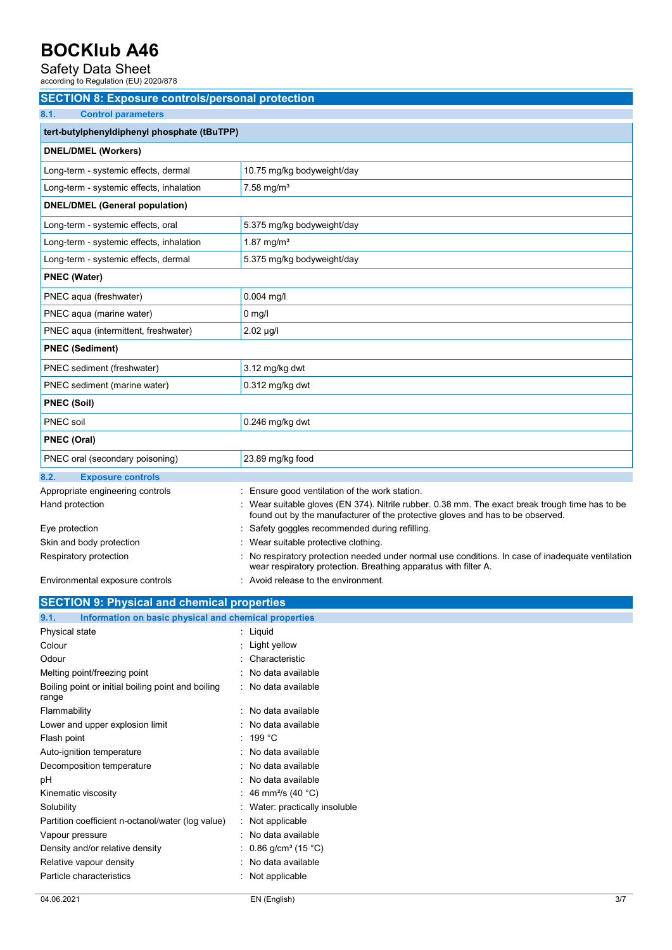Safety Data Sheet<br>according to Regulation (EU) 2020/878

| <b>SECTION 8: Exposure controls/personal protection</b>       |                                                                                                                                                                                   |
|---------------------------------------------------------------|-----------------------------------------------------------------------------------------------------------------------------------------------------------------------------------|
| 8.1.<br><b>Control parameters</b>                             |                                                                                                                                                                                   |
| tert-butylphenyldiphenyl phosphate (tBuTPP)                   |                                                                                                                                                                                   |
| <b>DNEL/DMEL (Workers)</b>                                    |                                                                                                                                                                                   |
| Long-term - systemic effects, dermal                          | 10.75 mg/kg bodyweight/day                                                                                                                                                        |
| Long-term - systemic effects, inhalation                      | $7.58$ mg/m <sup>3</sup>                                                                                                                                                          |
| <b>DNEL/DMEL (General population)</b>                         |                                                                                                                                                                                   |
| Long-term - systemic effects, oral                            | 5.375 mg/kg bodyweight/day                                                                                                                                                        |
| Long-term - systemic effects, inhalation                      | 1.87 mg/m <sup>3</sup>                                                                                                                                                            |
|                                                               |                                                                                                                                                                                   |
| Long-term - systemic effects, dermal                          | 5.375 mg/kg bodyweight/day                                                                                                                                                        |
| <b>PNEC (Water)</b>                                           |                                                                                                                                                                                   |
| PNEC aqua (freshwater)                                        | $0.004$ mg/l                                                                                                                                                                      |
| PNEC aqua (marine water)                                      | $0 \text{ mg/l}$                                                                                                                                                                  |
| PNEC aqua (intermittent, freshwater)                          | $2.02 \mu g/l$                                                                                                                                                                    |
| <b>PNEC (Sediment)</b>                                        |                                                                                                                                                                                   |
| PNEC sediment (freshwater)                                    | 3.12 mg/kg dwt                                                                                                                                                                    |
| PNEC sediment (marine water)                                  | $0.312$ mg/kg dwt                                                                                                                                                                 |
| <b>PNEC (Soil)</b>                                            |                                                                                                                                                                                   |
| <b>PNEC</b> soil                                              | $0.246$ mg/kg dwt                                                                                                                                                                 |
| <b>PNEC (Oral)</b>                                            |                                                                                                                                                                                   |
| PNEC oral (secondary poisoning)                               | 23.89 mg/kg food                                                                                                                                                                  |
| <b>Exposure controls</b><br>8.2.                              |                                                                                                                                                                                   |
| Appropriate engineering controls                              | : Ensure good ventilation of the work station.                                                                                                                                    |
| Hand protection                                               | : Wear suitable gloves (EN 374). Nitrile rubber. 0.38 mm. The exact break trough time has to be<br>found out by the manufacturer of the protective gloves and has to be observed. |
| Eye protection                                                | Safety goggles recommended during refilling.                                                                                                                                      |
| Skin and body protection                                      | Wear suitable protective clothing.                                                                                                                                                |
| Respiratory protection                                        | No respiratory protection needed under normal use conditions. In case of inadequate ventilation<br>wear respiratory protection. Breathing apparatus with filter A.                |
| Environmental exposure controls                               | : Avoid release to the environment.                                                                                                                                               |
| <b>SECTION 9: Physical and chemical properties</b>            |                                                                                                                                                                                   |
| Information on basic physical and chemical properties<br>9.1. |                                                                                                                                                                                   |
| Physical state                                                | : Liquid                                                                                                                                                                          |
| Colour                                                        | Light yellow                                                                                                                                                                      |
| Odour                                                         | Characteristic                                                                                                                                                                    |
| Melting point/freezing point                                  | No data available                                                                                                                                                                 |
| Boiling point or initial boiling point and boiling<br>range   | : No data available                                                                                                                                                               |
| Flammability                                                  | No data available                                                                                                                                                                 |
| Lower and upper explosion limit                               | No data available                                                                                                                                                                 |
| Flash point                                                   | 199 °C                                                                                                                                                                            |
| Auto-ignition temperature                                     | No data available                                                                                                                                                                 |
| Decomposition temperature                                     | No data available                                                                                                                                                                 |
| рH                                                            | No data available                                                                                                                                                                 |
| Kinematic viscosity                                           | 46 mm <sup>2</sup> /s (40 °C)                                                                                                                                                     |
| Solubility                                                    | Water: practically insoluble                                                                                                                                                      |
| Partition coefficient n-octanol/water (log value)             | Not applicable                                                                                                                                                                    |
| Vapour pressure                                               | No data available                                                                                                                                                                 |
| Density and/or relative density                               | 0.86 g/cm <sup>3</sup> (15 °C)                                                                                                                                                    |
| Relative vapour density                                       | No data available                                                                                                                                                                 |
| Particle characteristics                                      | : Not applicable                                                                                                                                                                  |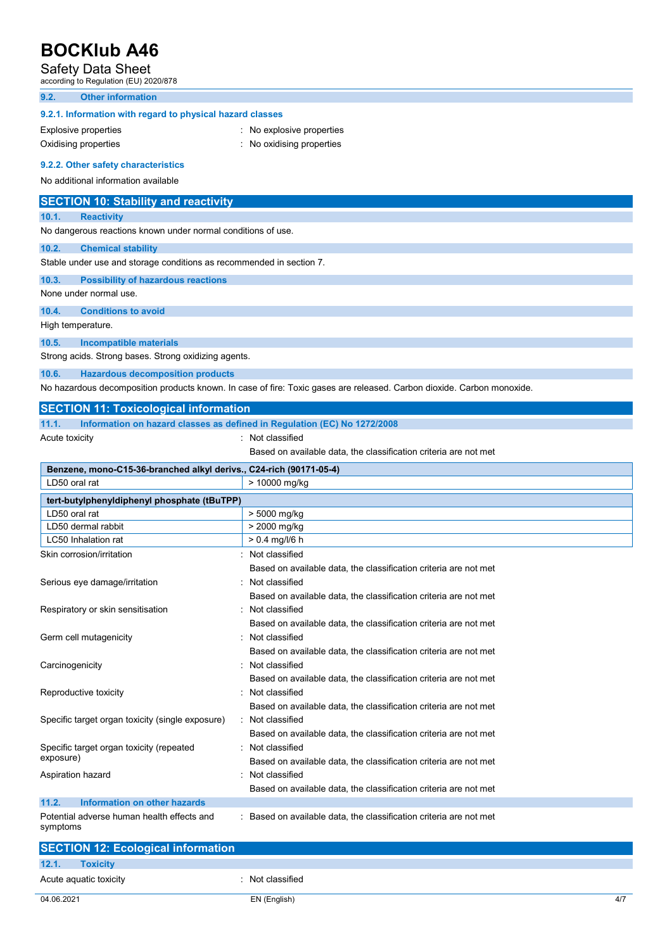# Safety Data Sheet<br>according to Regulation (EU) 2020/878

### **9.2. Other information**

## **9.2.1. Information with regard to physical hazard classes**

Explosive properties **in the explosive properties** : No explosive properties

- Oxidising properties **in the contract of the Contract Contract Contract Contract Contract Contract Contract Contract Contract Contract Contract Contract Contract Contract Contract Contract Contract Contract Contract Contra**
- **9.2.2. Other safety characteristics**

## No additional information available

|       | <b>SECTION 10: Stability and reactivity</b>                                                                            |
|-------|------------------------------------------------------------------------------------------------------------------------|
| 10.1. | <b>Reactivity</b>                                                                                                      |
|       | No dangerous reactions known under normal conditions of use.                                                           |
| 10.2. | <b>Chemical stability</b>                                                                                              |
|       | Stable under use and storage conditions as recommended in section 7.                                                   |
| 10.3. | <b>Possibility of hazardous reactions</b>                                                                              |
|       | None under normal use.                                                                                                 |
| 10.4. | <b>Conditions to avoid</b>                                                                                             |
|       | High temperature.                                                                                                      |
| 10.5. | <b>Incompatible materials</b>                                                                                          |
|       | Strong acids. Strong bases. Strong oxidizing agents.                                                                   |
| 10.6. | <b>Hazardous decomposition products</b>                                                                                |
|       | No hazardous decomposition products known. In case of fire: Toxic gases are released. Carbon dioxide. Carbon monoxide. |
|       | <b>SECTION 11: Toxicological information</b>                                                                           |
| 11.1. | Information on hazard classes as defined in Regulation (EC) No 1272/2008                                               |

Acute toxicity **in the case of the Case of the Case of the Case of the Case of the Case of the Case of the Case of the Case of the Case of the Case of the Case of the Case of the Case of the Case of the Case of the Case of** 

- 
- Based on available data, the classification criteria are not met

| Benzene, mono-C15-36-branched alkyl derivs., C24-rich (90171-05-4) |                                                                  |  |  |
|--------------------------------------------------------------------|------------------------------------------------------------------|--|--|
| LD50 oral rat                                                      | > 10000 mg/kg                                                    |  |  |
| tert-butylphenyldiphenyl phosphate (tBuTPP)                        |                                                                  |  |  |
| LD50 oral rat                                                      | > 5000 mg/kg                                                     |  |  |
| LD50 dermal rabbit                                                 | > 2000 mg/kg                                                     |  |  |
| <b>LC50</b> Inhalation rat                                         | $> 0.4$ mg/l/6 h                                                 |  |  |
| Skin corrosion/irritation                                          | Not classified                                                   |  |  |
|                                                                    | Based on available data, the classification criteria are not met |  |  |
| Serious eye damage/irritation                                      | Not classified                                                   |  |  |
|                                                                    | Based on available data, the classification criteria are not met |  |  |
| Respiratory or skin sensitisation                                  | Not classified                                                   |  |  |
|                                                                    | Based on available data, the classification criteria are not met |  |  |
| Germ cell mutagenicity                                             | Not classified                                                   |  |  |
|                                                                    | Based on available data, the classification criteria are not met |  |  |
| Carcinogenicity                                                    | Not classified                                                   |  |  |
|                                                                    | Based on available data, the classification criteria are not met |  |  |
| Reproductive toxicity                                              | Not classified                                                   |  |  |
|                                                                    | Based on available data, the classification criteria are not met |  |  |
| Specific target organ toxicity (single exposure)                   | : Not classified                                                 |  |  |
|                                                                    | Based on available data, the classification criteria are not met |  |  |
| Specific target organ toxicity (repeated                           | Not classified                                                   |  |  |
| exposure)                                                          | Based on available data, the classification criteria are not met |  |  |
| Aspiration hazard                                                  | Not classified                                                   |  |  |
|                                                                    | Based on available data, the classification criteria are not met |  |  |
| Information on other hazards<br>11.2.                              |                                                                  |  |  |
| Potential adverse human health effects and<br>symptoms             | Based on available data, the classification criteria are not met |  |  |

| <b>SECTION 12: Ecological information</b> |                  |
|-------------------------------------------|------------------|
| 12.1.<br><b>Toxicity</b>                  |                  |
| Acute aquatic toxicity                    | : Not classified |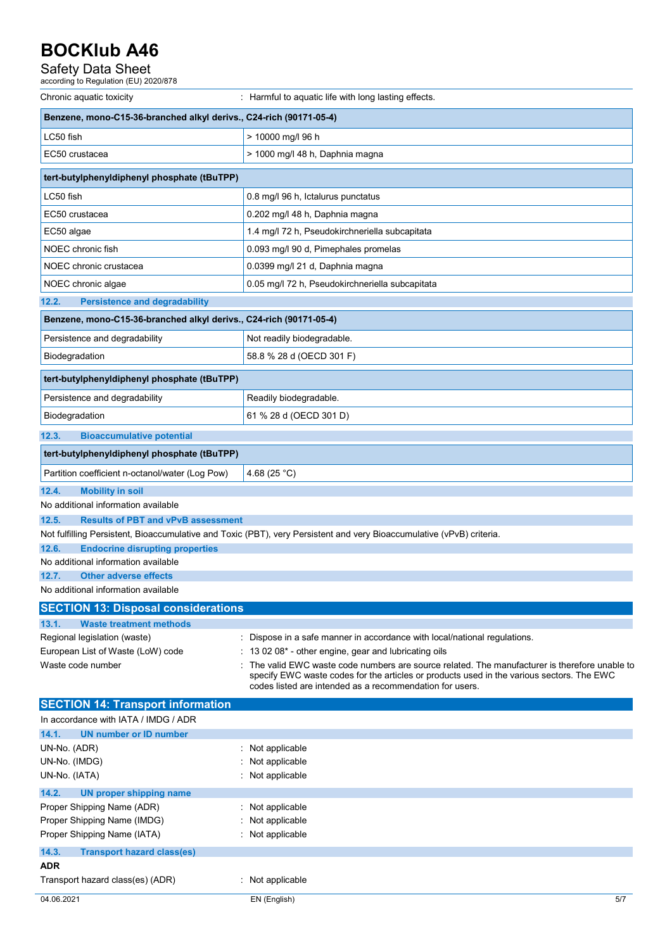# Safety Data Sheet<br>according to Regulation (EU) 2020/878

| Chronic aquatic toxicity                                           | : Harmful to aquatic life with long lasting effects.                                                                                                                                                                                                  |
|--------------------------------------------------------------------|-------------------------------------------------------------------------------------------------------------------------------------------------------------------------------------------------------------------------------------------------------|
| Benzene, mono-C15-36-branched alkyl derivs., C24-rich (90171-05-4) |                                                                                                                                                                                                                                                       |
| LC50 fish                                                          | > 10000 mg/l 96 h                                                                                                                                                                                                                                     |
| EC50 crustacea                                                     | > 1000 mg/l 48 h, Daphnia magna                                                                                                                                                                                                                       |
| tert-butylphenyldiphenyl phosphate (tBuTPP)                        |                                                                                                                                                                                                                                                       |
| LC50 fish                                                          | 0.8 mg/l 96 h, Ictalurus punctatus                                                                                                                                                                                                                    |
| EC50 crustacea                                                     | 0.202 mg/l 48 h, Daphnia magna                                                                                                                                                                                                                        |
| EC50 algae                                                         | 1.4 mg/l 72 h, Pseudokirchneriella subcapitata                                                                                                                                                                                                        |
| NOEC chronic fish                                                  | 0.093 mg/l 90 d, Pimephales promelas                                                                                                                                                                                                                  |
| NOEC chronic crustacea                                             | 0.0399 mg/l 21 d, Daphnia magna                                                                                                                                                                                                                       |
| NOEC chronic algae                                                 | 0.05 mg/l 72 h, Pseudokirchneriella subcapitata                                                                                                                                                                                                       |
| <b>Persistence and degradability</b><br>12.2.                      |                                                                                                                                                                                                                                                       |
| Benzene, mono-C15-36-branched alkyl derivs., C24-rich (90171-05-4) |                                                                                                                                                                                                                                                       |
| Persistence and degradability                                      | Not readily biodegradable.                                                                                                                                                                                                                            |
| Biodegradation                                                     | 58.8 % 28 d (OECD 301 F)                                                                                                                                                                                                                              |
| tert-butylphenyldiphenyl phosphate (tBuTPP)                        |                                                                                                                                                                                                                                                       |
| Persistence and degradability                                      | Readily biodegradable.                                                                                                                                                                                                                                |
| Biodegradation                                                     | 61 % 28 d (OECD 301 D)                                                                                                                                                                                                                                |
| 12.3.<br><b>Bioaccumulative potential</b>                          |                                                                                                                                                                                                                                                       |
| tert-butylphenyldiphenyl phosphate (tBuTPP)                        |                                                                                                                                                                                                                                                       |
| Partition coefficient n-octanol/water (Log Pow)                    | 4.68 $(25 °C)$                                                                                                                                                                                                                                        |
| 12.4.<br><b>Mobility in soil</b>                                   |                                                                                                                                                                                                                                                       |
| No additional information available                                |                                                                                                                                                                                                                                                       |
| 12.5.<br><b>Results of PBT and vPvB assessment</b>                 | Not fulfilling Persistent, Bioaccumulative and Toxic (PBT), very Persistent and very Bioaccumulative (vPvB) criteria.                                                                                                                                 |
| 12.6.<br><b>Endocrine disrupting properties</b>                    |                                                                                                                                                                                                                                                       |
| No additional information available                                |                                                                                                                                                                                                                                                       |
| 12.7.<br><b>Other adverse effects</b>                              |                                                                                                                                                                                                                                                       |
| No additional information available                                |                                                                                                                                                                                                                                                       |
| <b>SECTION 13: Disposal considerations</b>                         |                                                                                                                                                                                                                                                       |
| <b>Waste treatment methods</b><br>13.1.                            |                                                                                                                                                                                                                                                       |
| Regional legislation (waste)                                       | : Dispose in a safe manner in accordance with local/national regulations.                                                                                                                                                                             |
| European List of Waste (LoW) code                                  | : 13 02 08* - other engine, gear and lubricating oils                                                                                                                                                                                                 |
| Waste code number                                                  | The valid EWC waste code numbers are source related. The manufacturer is therefore unable to<br>specify EWC waste codes for the articles or products used in the various sectors. The EWC<br>codes listed are intended as a recommendation for users. |
| <b>SECTION 14: Transport information</b>                           |                                                                                                                                                                                                                                                       |
| In accordance with IATA / IMDG / ADR                               |                                                                                                                                                                                                                                                       |
| 14.1.<br><b>UN number or ID number</b>                             |                                                                                                                                                                                                                                                       |
| UN-No. (ADR)                                                       | : Not applicable                                                                                                                                                                                                                                      |
| UN-No. (IMDG)<br>UN-No. (IATA)                                     | Not applicable<br>: Not applicable                                                                                                                                                                                                                    |
| 14.2.                                                              |                                                                                                                                                                                                                                                       |
| <b>UN proper shipping name</b><br>Proper Shipping Name (ADR)       | Not applicable                                                                                                                                                                                                                                        |
| Proper Shipping Name (IMDG)                                        | Not applicable                                                                                                                                                                                                                                        |
| Proper Shipping Name (IATA)                                        | Not applicable                                                                                                                                                                                                                                        |
| 14.3.<br><b>Transport hazard class(es)</b>                         |                                                                                                                                                                                                                                                       |
| ADR                                                                |                                                                                                                                                                                                                                                       |
| Transport hazard class(es) (ADR)                                   | : Not applicable                                                                                                                                                                                                                                      |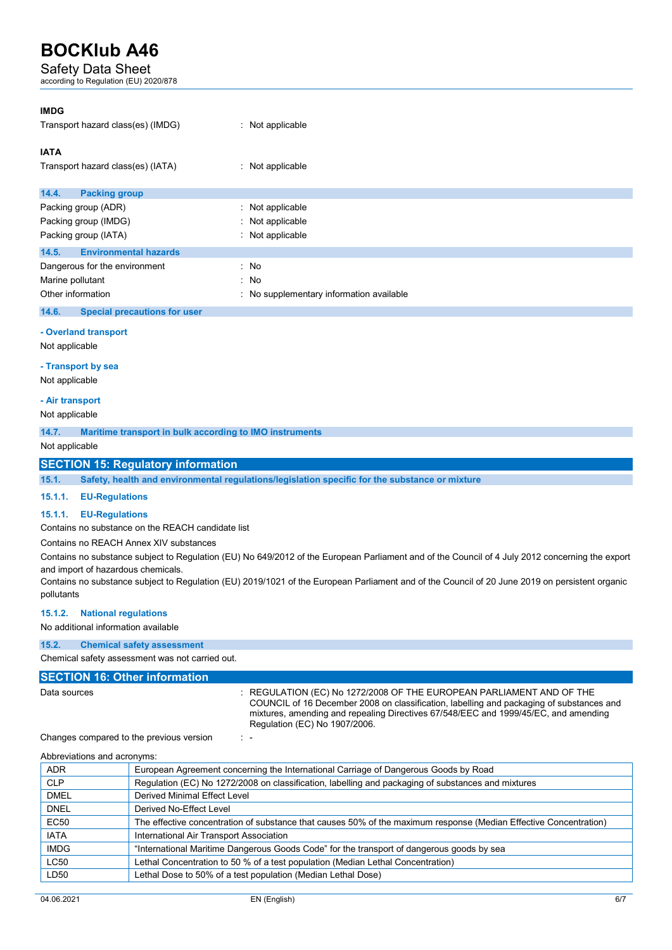## Safety Data Sheet

according to Regulation (EU) 2020/878

| <b>IMDG</b><br>Transport hazard class(es) (IMDG)                                                                                    | $:$ Not applicable                       |
|-------------------------------------------------------------------------------------------------------------------------------------|------------------------------------------|
| <b>IATA</b><br>Transport hazard class(es) (IATA)                                                                                    | $:$ Not applicable                       |
| 14.4.<br><b>Packing group</b>                                                                                                       |                                          |
| Packing group (ADR)                                                                                                                 | : Not applicable                         |
| Packing group (IMDG)                                                                                                                | : Not applicable                         |
| Packing group (IATA)                                                                                                                | : Not applicable                         |
| <b>Environmental hazards</b><br>14.5.                                                                                               |                                          |
| Dangerous for the environment                                                                                                       | : No                                     |
| Marine pollutant                                                                                                                    | : No                                     |
| Other information                                                                                                                   | : No supplementary information available |
| $\mathbf{A} \cdot \mathbf{A}$ and $\mathbf{A} \cdot \mathbf{A}$ and $\mathbf{A} \cdot \mathbf{A}$ and $\mathbf{A} \cdot \mathbf{A}$ |                                          |

### **14.6. Special precautions for user**

### **- Overland transport**

Not applicable

#### **- Transport by sea**

Not applicable

#### **- Air transport**

Not applicable

**14.7. Maritime transport in bulk according to IMO instruments** 

Not applicable

### **SECTION 15: Regulatory information**

**15.1. Safety, health and environmental regulations/legislation specific for the substance or mixture** 

#### **15.1.1. EU-Regulations**

### **15.1.1. EU-Regulations**

Contains no substance on the REACH candidate list

Contains no REACH Annex XIV substances

Contains no substance subject to Regulation (EU) No 649/2012 of the European Parliament and of the Council of 4 July 2012 concerning the export and import of hazardous chemicals.

Contains no substance subject to Regulation (EU) 2019/1021 of the European Parliament and of the Council of 20 June 2019 on persistent organic pollutants

### **15.1.2. National regulations**

No additional information available

## **15.2. Chemical safety assessment**

Chemical safety assessment was not carried out.

### **SECTION 16: Other information**

Data sources : REGULATION (EC) No 1272/2008 OF THE EUROPEAN PARLIAMENT AND OF THE COUNCIL of 16 December 2008 on classification, labelling and packaging of substances and mixtures, amending and repealing Directives 67/548/EEC and 1999/45/EC, and amending Regulation (EC) No 1907/2006.

Changes compared to the previous version : -

Abbreviations and acronyms:

| <b>ADR</b>  | European Agreement concerning the International Carriage of Dangerous Goods by Road                               |
|-------------|-------------------------------------------------------------------------------------------------------------------|
| <b>CLP</b>  | Regulation (EC) No 1272/2008 on classification, labelling and packaging of substances and mixtures                |
| <b>DMEL</b> | Derived Minimal Effect Level                                                                                      |
| <b>DNEL</b> | Derived No-Effect Level                                                                                           |
| <b>EC50</b> | The effective concentration of substance that causes 50% of the maximum response (Median Effective Concentration) |
| <b>IATA</b> | International Air Transport Association                                                                           |
| <b>IMDG</b> | "International Maritime Dangerous Goods Code" for the transport of dangerous goods by sea                         |
| <b>LC50</b> | Lethal Concentration to 50 % of a test population (Median Lethal Concentration)                                   |
| LD50        | Lethal Dose to 50% of a test population (Median Lethal Dose)                                                      |